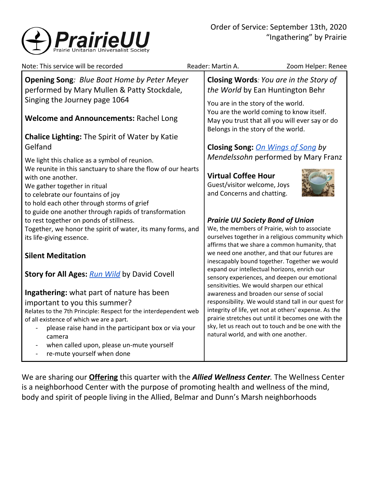

| Note: This service will be recorded                                                                                                                                                                                                                           | Reader: Martin A.                                                                       | Zoom Helper: Renee                                                                                                                                                                                                                                   |  |
|---------------------------------------------------------------------------------------------------------------------------------------------------------------------------------------------------------------------------------------------------------------|-----------------------------------------------------------------------------------------|------------------------------------------------------------------------------------------------------------------------------------------------------------------------------------------------------------------------------------------------------|--|
| <b>Opening Song: Blue Boat Home by Peter Meyer</b><br>performed by Mary Mullen & Patty Stockdale,                                                                                                                                                             |                                                                                         | Closing Words: You are in the Story of<br>the World by Ean Huntington Behr<br>You are in the story of the world.<br>You are the world coming to know itself.<br>May you trust that all you will ever say or do<br>Belongs in the story of the world. |  |
| Singing the Journey page 1064<br><b>Welcome and Announcements: Rachel Long</b>                                                                                                                                                                                |                                                                                         |                                                                                                                                                                                                                                                      |  |
| <b>Chalice Lighting: The Spirit of Water by Katie</b><br>Gelfand                                                                                                                                                                                              |                                                                                         | <b>Closing Song: On Wings of Song by</b>                                                                                                                                                                                                             |  |
| We light this chalice as a symbol of reunion.                                                                                                                                                                                                                 |                                                                                         | Mendelssohn performed by Mary Franz                                                                                                                                                                                                                  |  |
| We reunite in this sanctuary to share the flow of our hearts<br>with one another.<br>We gather together in ritual<br>to celebrate our fountains of joy<br>to hold each other through storms of grief<br>to guide one another through rapids of transformation | <b>Virtual Coffee Hour</b><br>Guest/visitor welcome, Joys<br>and Concerns and chatting. |                                                                                                                                                                                                                                                      |  |
| to rest together on ponds of stillness.<br>Together, we honor the spirit of water, its many forms, and<br>its life-giving essence.                                                                                                                            |                                                                                         | <b>Prairie UU Society Bond of Union</b><br>We, the members of Prairie, wish to associate<br>ourselves together in a religious community which<br>affirms that we share a common humanity, that                                                       |  |
| <b>Silent Meditation</b>                                                                                                                                                                                                                                      |                                                                                         | we need one another, and that our futures are<br>inescapably bound together. Together we would                                                                                                                                                       |  |
| <b>Story for All Ages: Run Wild by David Covell</b>                                                                                                                                                                                                           |                                                                                         | expand our intellectual horizons, enrich our<br>sensory experiences, and deepen our emotional<br>sensitivities. We would sharpen our ethical                                                                                                         |  |
| Ingathering: what part of nature has been                                                                                                                                                                                                                     |                                                                                         | awareness and broaden our sense of social                                                                                                                                                                                                            |  |
| important to you this summer?<br>Relates to the 7th Principle: Respect for the interdependent web<br>of all existence of which we are a part.<br>please raise hand in the participant box or via your<br>camera<br>when called upon, please un-mute yourself  | natural world, and with one another.                                                    | responsibility. We would stand tall in our quest for<br>integrity of life, yet not at others' expense. As the<br>prairie stretches out until it becomes one with the<br>sky, let us reach out to touch and be one with the                           |  |
| re-mute yourself when done<br>$\overline{\phantom{a}}$                                                                                                                                                                                                        |                                                                                         |                                                                                                                                                                                                                                                      |  |

We are sharing our **[Offering](https://www.paypal.com/cgi-bin/webscr?cmd=_s-xclick&hosted_button_id=T3LVLF6FD6LPE&source=url)** this quarter with the *Allied Wellness Center.* The Wellness Center is a neighborhood Center with the purpose of promoting health and wellness of the mind, body and spirit of people living in the Allied, Belmar and Dunn's Marsh neighborhoods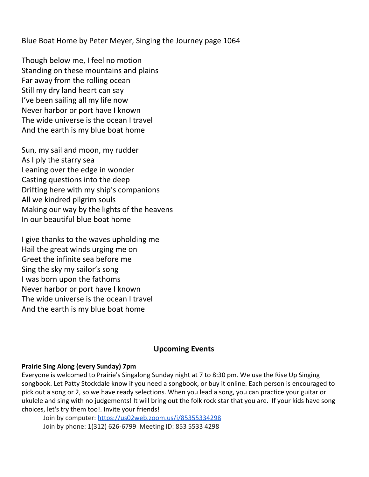Blue Boat Home by Peter Meyer, Singing the Journey page 1064

Though below me, I feel no motion Standing on these mountains and plains Far away from the rolling ocean Still my dry land heart can say I've been sailing all my life now Never harbor or port have I known The wide universe is the ocean I travel And the earth is my blue boat home

Sun, my sail and moon, my rudder As I ply the starry sea Leaning over the edge in wonder Casting questions into the deep Drifting here with my ship's companions All we kindred pilgrim souls Making our way by the lights of the heavens In our beautiful blue boat home

I give thanks to the waves upholding me Hail the great winds urging me on Greet the infinite sea before me Sing the sky my sailor's song I was born upon the fathoms Never harbor or port have I known The wide universe is the ocean I travel And the earth is my blue boat home

# **Upcoming Events**

# **Prairie Sing Along (every Sunday) 7pm**

Everyone is welcomed to Prairie's Singalong Sunday night at 7 to 8:30 pm. We use the Rise Up Singing songbook. Let Patty Stockdale know if you need a songbook, or buy it online. Each person is encouraged to pick out a song or 2, so we have ready selections. When you lead a song, you can practice your guitar or ukulele and sing with no judgements! It will bring out the folk rock star that you are. If your kids have song choices, let's try them too!. Invite your friends!

[Join by computer](https://us02web.zoom.us/j/85355334298):<https://us02web.zoom.us/j/85355334298> Join by phone: 1(312) 626-6799 Meeting ID: 853 5533 4298